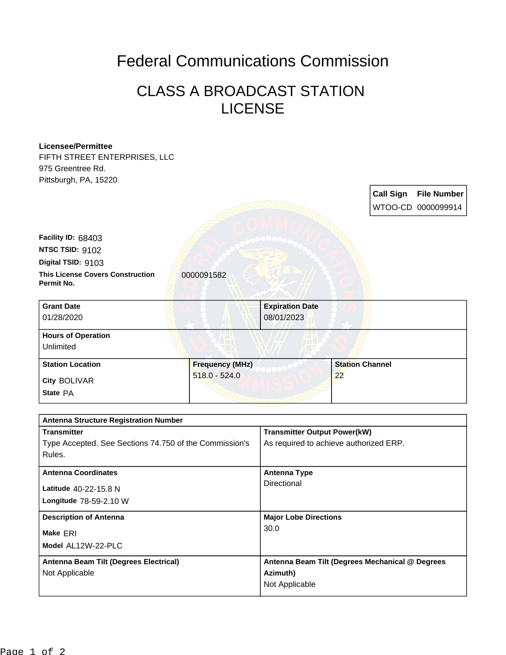## Federal Communications Commission

## CLASS A BROADCAST STATION LICENSE

## **Licensee/Permittee** FIFTH STREET ENTERPRISES, LLC 975 Greentree Rd. Pittsburgh, PA, 15220 **Call Sign File Number** WTOO-CD 0000099914 **This License Covers Construction**  0000091582 **Permit No. Digital TSID:** 9103 **NTSC TSID: 9102 Facility ID:** 68403 **Model** AL12W-22-PLC **Make** ERI **Longitude** 78-59-2.10 W **Latitude** 40-22-15.8 N **State** PA **City** BOLIVAR **Grant Date** 01/28/2020 **Expiration Date** 08/01/2023 **Hours of Operation** Unlimited **Station Location Frequency (MHz)** 518.0 - 524.0 **Station Channel** 22 **Antenna Structure Registration Number Transmitter** Type Accepted. See Sections 74.750 of the Commission's Rules. **Transmitter Output Power(kW)** As required to achieve authorized ERP. **Antenna Coordinates Antenna Type Directional Description of Antenna Major Lobe Directions** 30.0 **Antenna Beam Tilt (Degrees Electrical)** Not Applicable **Antenna Beam Tilt (Degrees Mechanical @ Degrees Azimuth)** Not Applicable